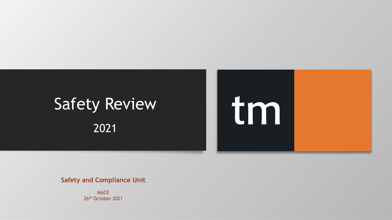# Safety Review 2021



**Safety and Compliance Unit**

MACE 26th October 2021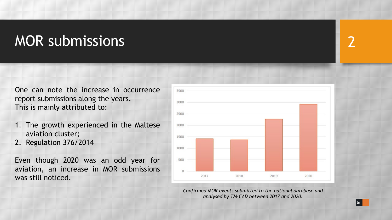### MOR submissions

One can note the increase in occurrence report submissions along the years. This is mainly attributed to:

- 1. The growth experienced in the Maltese aviation cluster;
- 2. Regulation 376/2014

Even though 2020 was an odd year for aviation, an increase in MOR submissions was still noticed.



*Confirmed MOR events submitted to the national database and analysed by TM-CAD between 2017 and 2020.*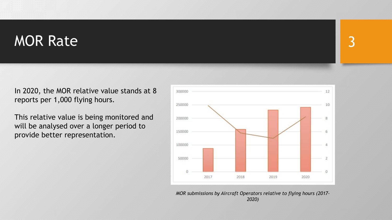### **MOR Rate**

In 2020, the MOR relative value stands at 8 reports per 1,000 flying hours.

This relative value is being monitored and will be analysed over a longer period to provide better representation.



*MOR submissions by Aircraft Operators relative to flying hours (2017- 2020)*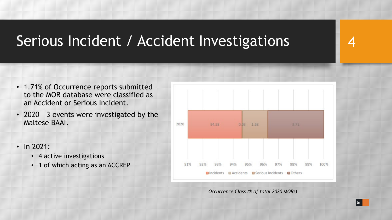## Serious Incident / Accident Investigations

- 1.71% of Occurrence reports submitted to the MOR database were classified as an Accident or Serious Incident.
- 2020 3 events were investigated by the Maltese BAAI.
- In 2021:
	- 4 active investigations
	- 1 of which acting as an ACCREP



*Occurrence Class (% of total 2020 MORs)*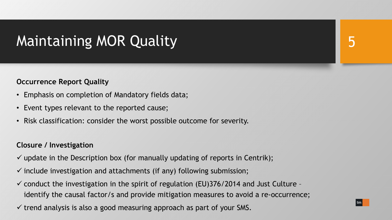### Maintaining MOR Quality 5

### **Occurrence Report Quality**

- Emphasis on completion of Mandatory fields data;
- Event types relevant to the reported cause;
- Risk classification: consider the worst possible outcome for severity.

#### **Closure / Investigation**

- $\checkmark$  update in the Description box (for manually updating of reports in Centrik);
- $\checkmark$  include investigation and attachments (if any) following submission;
- $\checkmark$  conduct the investigation in the spirit of regulation (EU)376/2014 and Just Culture identify the causal factor/s and provide mitigation measures to avoid a re-occurrence;
- $\checkmark$  trend analysis is also a good measuring approach as part of your SMS.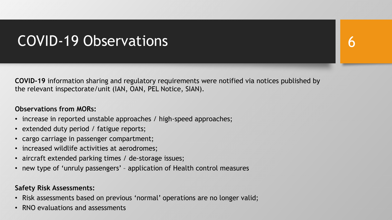## COVID-19 Observations

**COVID-19** information sharing and regulatory requirements were notified via notices published by the relevant inspectorate/unit (IAN, OAN, PEL Notice, SIAN).

### **Observations from MORs:**

- increase in reported unstable approaches / high-speed approaches;
- extended duty period / fatigue reports;
- cargo carriage in passenger compartment;
- increased wildlife activities at aerodromes;
- aircraft extended parking times / de-storage issues;
- new type of 'unruly passengers' application of Health control measures

### **Safety Risk Assessments:**

- Risk assessments based on previous 'normal' operations are no longer valid;
- RNO evaluations and assessments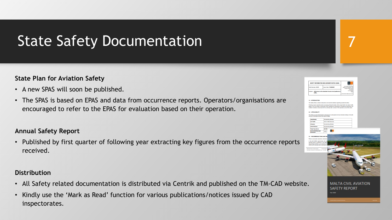## State Safety Documentation

#### **State Plan for Aviation Safety**

- A new SPAS will soon be published.
- The SPAS is based on EPAS and data from occurrence reports. Operators/organisations are encouraged to refer to the EPAS for evaluation based on their operation.

#### **Annual Safety Report**

• Published by first quarter of following year extracting key figures from the occurrence reports received.

#### **Distribution**

- All Safety related documentation is distributed via Centrik and published on the TM-CAD website.
- Kindly use the 'Mark as Read' function for various publications/notices issued by CAD inspectorates.